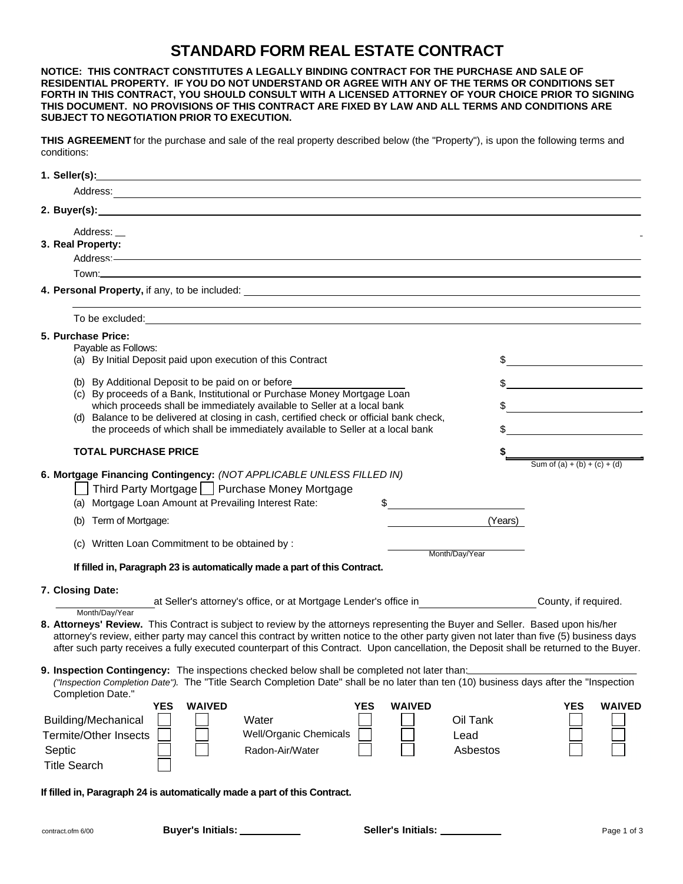## **STANDARD FORM REAL ESTATE CONTRACT**

**NOTICE: THIS CONTRACT CONSTITUTES A LEGALLY BINDING CONTRACT FOR THE PURCHASE AND SALE OF RESIDENTIAL PROPERTY. IF YOU DO NOT UNDERSTAND OR AGREE WITH ANY OF THE TERMS OR CONDITIONS SET FORTH IN THIS CONTRACT, YOU SHOULD CONSULT WITH A LICENSED ATTORNEY OF YOUR CHOICE PRIOR TO SIGNING THIS DOCUMENT. NO PROVISIONS OF THIS CONTRACT ARE FIXED BY LAW AND ALL TERMS AND CONDITIONS ARE SUBJECT TO NEGOTIATION PRIOR TO EXECUTION.**

**THIS AGREEMENT** for the purchase and sale of the real property described below (the "Property"), is upon the following terms and conditions:

| 1. Seller(s): <u>Allender and the seller of the seller of the seller of the seller of the seller of the seller of the seller of the seller of the seller of the seller of the seller of the seller of the seller of the seller o</u> |                                                                                                                                                                                                                                                                                                                     |
|--------------------------------------------------------------------------------------------------------------------------------------------------------------------------------------------------------------------------------------|---------------------------------------------------------------------------------------------------------------------------------------------------------------------------------------------------------------------------------------------------------------------------------------------------------------------|
|                                                                                                                                                                                                                                      |                                                                                                                                                                                                                                                                                                                     |
|                                                                                                                                                                                                                                      |                                                                                                                                                                                                                                                                                                                     |
|                                                                                                                                                                                                                                      |                                                                                                                                                                                                                                                                                                                     |
| 3. Real Property:                                                                                                                                                                                                                    |                                                                                                                                                                                                                                                                                                                     |
|                                                                                                                                                                                                                                      |                                                                                                                                                                                                                                                                                                                     |
|                                                                                                                                                                                                                                      |                                                                                                                                                                                                                                                                                                                     |
|                                                                                                                                                                                                                                      |                                                                                                                                                                                                                                                                                                                     |
| To be excluded: <u>example</u> and the set of the set of the set of the set of the set of the set of the set of the set of the set of the set of the set of the set of the set of the set of the set of the set of the set of the s  |                                                                                                                                                                                                                                                                                                                     |
| 5. Purchase Price:                                                                                                                                                                                                                   |                                                                                                                                                                                                                                                                                                                     |
| Payable as Follows:                                                                                                                                                                                                                  |                                                                                                                                                                                                                                                                                                                     |
| (a) By Initial Deposit paid upon execution of this Contract                                                                                                                                                                          | $\frac{1}{2}$                                                                                                                                                                                                                                                                                                       |
| (b) By Additional Deposit to be paid on or before                                                                                                                                                                                    | $\frac{1}{2}$                                                                                                                                                                                                                                                                                                       |
| (c) By proceeds of a Bank, Institutional or Purchase Money Mortgage Loan<br>which proceeds shall be immediately available to Seller at a local bank                                                                                  | $\frac{1}{2}$ $\frac{1}{2}$ $\frac{1}{2}$ $\frac{1}{2}$ $\frac{1}{2}$ $\frac{1}{2}$ $\frac{1}{2}$ $\frac{1}{2}$ $\frac{1}{2}$ $\frac{1}{2}$ $\frac{1}{2}$ $\frac{1}{2}$ $\frac{1}{2}$ $\frac{1}{2}$ $\frac{1}{2}$ $\frac{1}{2}$ $\frac{1}{2}$ $\frac{1}{2}$ $\frac{1}{2}$ $\frac{1}{2}$ $\frac{1}{2}$ $\frac{1}{2}$ |
| (d) Balance to be delivered at closing in cash, certified check or official bank check,                                                                                                                                              |                                                                                                                                                                                                                                                                                                                     |
| the proceeds of which shall be immediately available to Seller at a local bank                                                                                                                                                       | $\frac{1}{2}$                                                                                                                                                                                                                                                                                                       |
| <b>TOTAL PURCHASE PRICE</b>                                                                                                                                                                                                          | Sum of $(a) + (b) + (c) + (d)$                                                                                                                                                                                                                                                                                      |
| 6. Mortgage Financing Contingency: (NOT APPLICABLE UNLESS FILLED IN)                                                                                                                                                                 |                                                                                                                                                                                                                                                                                                                     |
| Third Party Mortgage   Purchase Money Mortgage                                                                                                                                                                                       |                                                                                                                                                                                                                                                                                                                     |
| (a) Mortgage Loan Amount at Prevailing Interest Rate:<br>$\frac{1}{\sqrt{2}}$                                                                                                                                                        |                                                                                                                                                                                                                                                                                                                     |
| (b) Term of Mortgage:                                                                                                                                                                                                                | (Years)                                                                                                                                                                                                                                                                                                             |
|                                                                                                                                                                                                                                      |                                                                                                                                                                                                                                                                                                                     |
| (c) Written Loan Commitment to be obtained by :                                                                                                                                                                                      | Month/Day/Year                                                                                                                                                                                                                                                                                                      |
| If filled in, Paragraph 23 is automatically made a part of this Contract.                                                                                                                                                            |                                                                                                                                                                                                                                                                                                                     |
| 7. Closing Date:                                                                                                                                                                                                                     |                                                                                                                                                                                                                                                                                                                     |
| at Seller's attorney's office, or at Mortgage Lender's office in                                                                                                                                                                     | County, if required.                                                                                                                                                                                                                                                                                                |
| Month/Day/Year<br>8. Attorneys' Review. This Contract is subject to review by the attorneys representing the Buyer and Seller. Based upon his/her                                                                                    |                                                                                                                                                                                                                                                                                                                     |
| attorney's review, either party may cancel this contract by written notice to the other party given not later than five (5) business days                                                                                            |                                                                                                                                                                                                                                                                                                                     |
| after such party receives a fully executed counterpart of this Contract. Upon cancellation, the Deposit shall be returned to the Buyer.                                                                                              |                                                                                                                                                                                                                                                                                                                     |
| 9. Inspection Contingency: The inspections checked below shall be completed not later than:                                                                                                                                          |                                                                                                                                                                                                                                                                                                                     |
| ("Inspection Completion Date"). The "Title Search Completion Date" shall be no later than ten (10) business days after the "Inspection                                                                                               |                                                                                                                                                                                                                                                                                                                     |
| Completion Date."<br><b>WAIVED</b><br><b>YES</b><br><b>YES</b><br><b>WAIVED</b>                                                                                                                                                      | <b>YES</b><br><b>WAIVED</b>                                                                                                                                                                                                                                                                                         |
| <b>Building/Mechanical</b><br>Water                                                                                                                                                                                                  | Oil Tank                                                                                                                                                                                                                                                                                                            |
| <b>Well/Organic Chemicals</b><br><b>Termite/Other Insects</b>                                                                                                                                                                        | Lead                                                                                                                                                                                                                                                                                                                |
| Septic<br>Radon-Air/Water                                                                                                                                                                                                            | Asbestos                                                                                                                                                                                                                                                                                                            |
| <b>Title Search</b>                                                                                                                                                                                                                  |                                                                                                                                                                                                                                                                                                                     |
| If filled in, Paragraph 24 is automatically made a part of this Contract.                                                                                                                                                            |                                                                                                                                                                                                                                                                                                                     |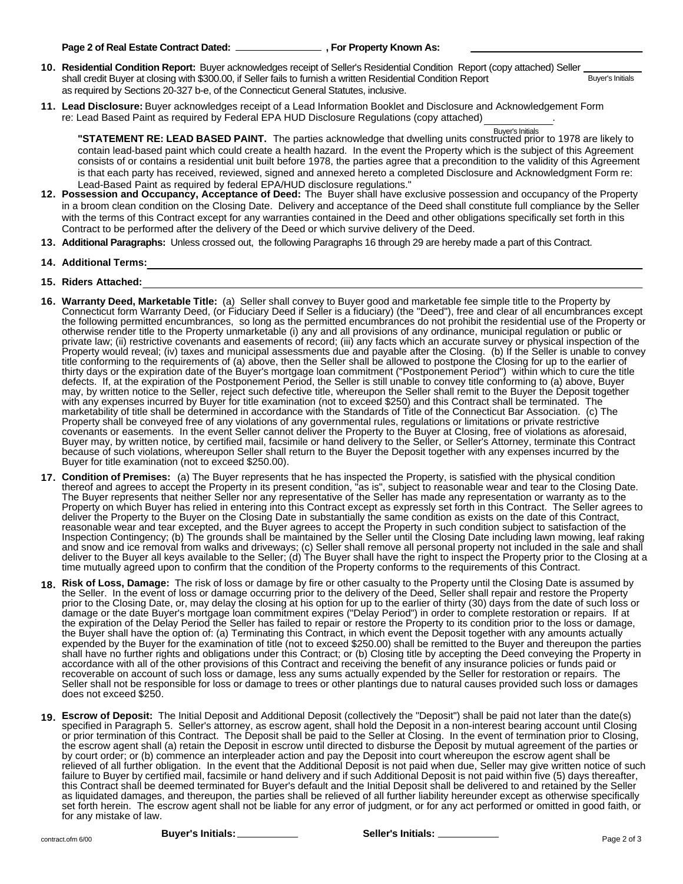- **10. Residential Condition Report:** Buyer acknowledges receipt of Seller's Residential Condition Report (copy attached) Seller shall credit Buyer at closing with \$300.00, if Seller fails to furnish a written Residential Condition Report as required by Sections 20-327 b-e, of the Connecticut General Statutes, inclusive. Buyer's Initials
- **11. Lead Disclosure:** Buyer acknowledges receipt of a Lead Information Booklet and Disclosure and Acknowledgement Form re: Lead Based Paint as required by Federal EPA HUD Disclosure Regulations (copy attached) .

Buyer's Initials<br>**"STATEMENT RE: LEAD BASED PAINT.** The parties acknowledge that dwelling units constructed prior to 1978 are likely to contain lead-based paint which could create a health hazard. In the event the Property which is the subject of this Agreement consists of or contains a residential unit built before 1978, the parties agree that a precondition to the validity of this Agreement is that each party has received, reviewed, signed and annexed hereto a completed Disclosure and Acknowledgment Form re: Lead-Based Paint as required by federal EPA/HUD disclosure regulations."

- **12. Possession and Occupancy, Acceptance of Deed:** The Buyer shall have exclusive possession and occupancy of the Property in a broom clean condition on the Closing Date. Delivery and acceptance of the Deed shall constitute full compliance by the Seller with the terms of this Contract except for any warranties contained in the Deed and other obligations specifically set forth in this Contract to be performed after the delivery of the Deed or which survive delivery of the Deed.
- **13. Additional Paragraphs:** Unless crossed out, the following Paragraphs 16 through 29 are hereby made a part of this Contract.
- **14. Additional Terms:**
- **15. Riders Attached:**
- **16. Warranty Deed, Marketable Title:** (a) Seller shall convey to Buyer good and marketable fee simple title to the Property by Connecticut form Warranty Deed, (or Fiduciary Deed if Seller is a fiduciary) (the "Deed"), free and clear of all encumbrances except the following permitted encumbrances, so long as the permitted encumbrances do not prohibit the residential use of the Property or otherwise render title to the Property unmarketable (i) any and all provisions of any ordinance, municipal regulation or public or private law; (ii) restrictive covenants and easements of record; (iii) any facts which an accurate survey or physical inspection of the Property would reveal; (iv) taxes and municipal assessments due and payable after the Closing. (b) If the Seller is unable to convey title conforming to the requirements of (a) above, then the Seller shall be allowed to postpone the Closing for up to the earlier of thirty days or the expiration date of the Buyer's mortgage loan commitment ("Postponement Period") within which to cure the title defects. If, at the expiration of the Postponement Period, the Seller is still unable to convey title conforming to (a) above, Buyer may, by written notice to the Seller, reject such defective title, whereupon the Seller shall remit to the Buyer the Deposit together with any expenses incurred by Buyer for title examination (not to exceed \$250) and this Contract shall be terminated. The marketability of title shall be determined in accordance with the Standards of Title of the Connecticut Bar Association. (c) The Property shall be conveyed free of any violations of any governmental rules, regulations or limitations or private restrictive covenants or easements. In the event Seller cannot deliver the Property to the Buyer at Closing, free of violations as aforesaid, Buyer may, by written notice, by certified mail, facsimile or hand delivery to the Seller, or Seller's Attorney, terminate this Contract because of such violations, whereupon Seller shall return to the Buyer the Deposit together with any expenses incurred by the Buyer for title examination (not to exceed \$250.00).
- **17. Condition of Premises:** (a) The Buyer represents that he has inspected the Property, is satisfied with the physical condition thereof and agrees to accept the Property in its present condition, "as is", subject to reasonable wear and tear to the Closing Date. The Buyer represents that neither Seller nor any representative of the Seller has made any representation or warranty as to the Property on which Buyer has relied in entering into this Contract except as expressly set forth in this Contract. The Seller agrees to deliver the Property to the Buyer on the Closing Date in substantially the same condition as exists on the date of this Contract, reasonable wear and tear excepted, and the Buyer agrees to accept the Property in such condition subject to satisfaction of the Inspection Contingency; (b) The grounds shall be maintained by the Seller until the Closing Date including lawn mowing, leaf raking and snow and ice removal from walks and driveways; (c) Seller shall remove all personal property not included in the sale and shall deliver to the Buyer all keys available to the Seller; (d) The Buyer shall have the right to inspect the Property prior to the Closing at a time mutually agreed upon to confirm that the condition of the Property conforms to the requirements of this Contract.
- **18. Risk of Loss, Damage:** The risk of loss or damage by fire or other casualty to the Property until the Closing Date is assumed by the Seller. In the event of loss or damage occurring prior to the delivery of the Deed, Seller shall repair and restore the Property prior to the Closing Date, or, may delay the closing at his option for up to the earlier of thirty (30) days from the date of such loss or damage or the date Buyer's mortgage loan commitment expires ("Delay Period") in order to complete restoration or repairs. If at the expiration of the Delay Period the Seller has failed to repair or restore the Property to its condition prior to the loss or damage, the Buyer shall have the option of: (a) Terminating this Contract, in which event the Deposit together with any amounts actually expended by the Buyer for the examination of title (not to exceed \$250.00) shall be remitted to the Buyer and thereupon the parties shall have no further rights and obligations under this Contract; or (b) Closing title by accepting the Deed conveying the Property in accordance with all of the other provisions of this Contract and receiving the benefit of any insurance policies or funds paid or recoverable on account of such loss or damage, less any sums actually expended by the Seller for restoration or repairs. The Seller shall not be responsible for loss or damage to trees or other plantings due to natural causes provided such loss or damages does not exceed \$250.
- **19. Escrow of Deposit:** The Initial Deposit and Additional Deposit (collectively the "Deposit") shall be paid not later than the date(s) specified in Paragraph 5. Seller's attorney, as escrow agent, shall hold the Deposit in a non-interest bearing account until Closing or prior termination of this Contract. The Deposit shall be paid to the Seller at Closing. In the event of termination prior to Closing, the escrow agent shall (a) retain the Deposit in escrow until directed to disburse the Deposit by mutual agreement of the parties or by court order; or (b) commence an interpleader action and pay the Deposit into court whereupon the escrow agent shall be relieved of all further obligation. In the event that the Additional Deposit is not paid when due, Seller may give written notice of such failure to Buyer by certified mail, facsimile or hand delivery and if such Additional Deposit is not paid within five (5) days thereafter, this Contract shall be deemed terminated for Buyer's default and the Initial Deposit shall be delivered to and retained by the Seller as liquidated damages, and thereupon, the parties shall be relieved of all further liability hereunder except as otherwise specifically set forth herein. The escrow agent shall not be liable for any error of judgment, or for any act performed or omitted in good faith, or for any mistake of law.